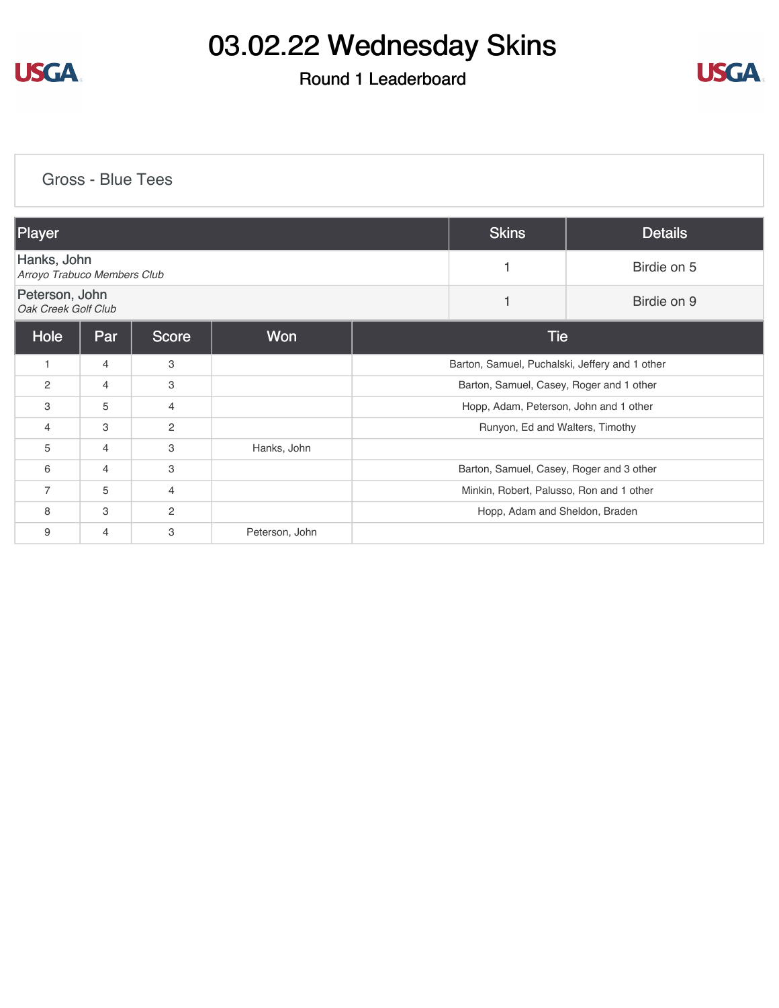

### Round 1 Leaderboard



[Gross - Blue Tees](https://cdn2.golfgenius.com/v2tournaments/8262605547233107977?called_from=&round_index=1)

| Player                                     |                |                |                |                                                | <b>Skins</b> | <b>Details</b> |  |
|--------------------------------------------|----------------|----------------|----------------|------------------------------------------------|--------------|----------------|--|
| Hanks, John<br>Arroyo Trabuco Members Club |                |                |                |                                                | Birdie on 5  |                |  |
| Peterson, John<br>Oak Creek Golf Club      |                |                |                | 1                                              | Birdie on 9  |                |  |
| Hole                                       | Par            | <b>Score</b>   | Won            |                                                | <b>Tie</b>   |                |  |
| $\mathbf{1}$                               | $\overline{4}$ | 3              |                | Barton, Samuel, Puchalski, Jeffery and 1 other |              |                |  |
| 2                                          | 4              | 3              |                | Barton, Samuel, Casey, Roger and 1 other       |              |                |  |
| 3                                          | 5              | 4              |                | Hopp, Adam, Peterson, John and 1 other         |              |                |  |
| 4                                          | 3              | $\overline{2}$ |                | Runyon, Ed and Walters, Timothy                |              |                |  |
| 5                                          | $\overline{4}$ | 3              | Hanks, John    |                                                |              |                |  |
| 6                                          | $\overline{4}$ | 3              |                | Barton, Samuel, Casey, Roger and 3 other       |              |                |  |
| $\overline{7}$                             | 5              | $\overline{4}$ |                | Minkin, Robert, Palusso, Ron and 1 other       |              |                |  |
| 8                                          | 3              | $\overline{2}$ |                | Hopp, Adam and Sheldon, Braden                 |              |                |  |
| 9                                          | 4              | 3              | Peterson, John |                                                |              |                |  |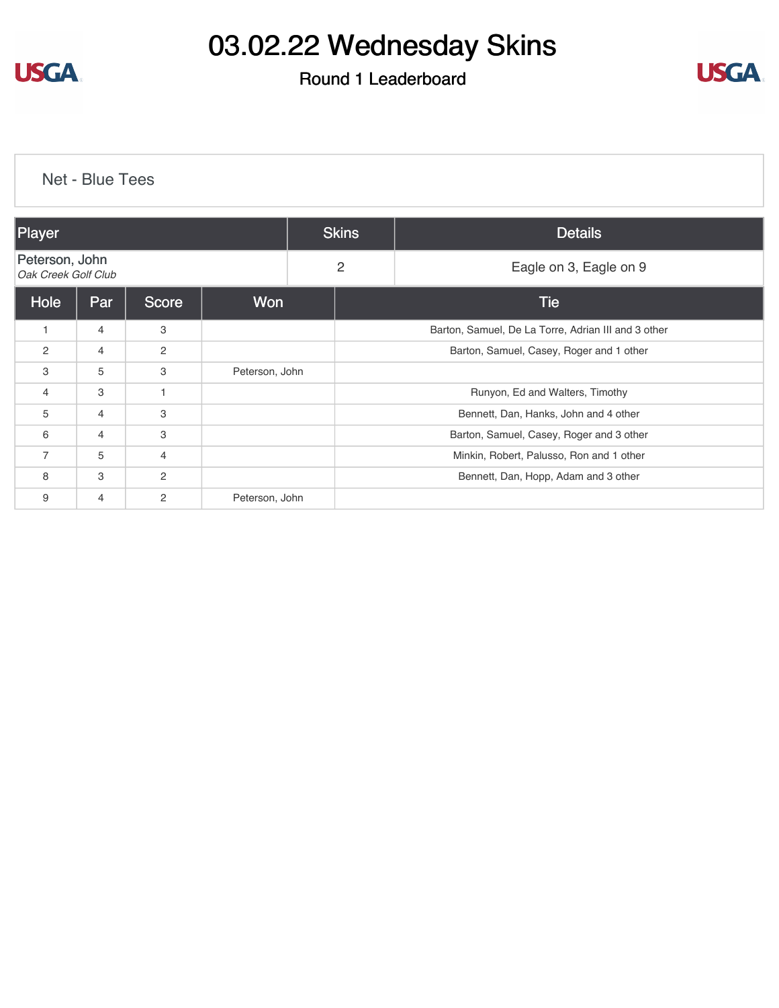

#### Round 1 Leaderboard



| <b>Net - Blue Tees</b> |                                       |                |                |  |                                                     |                        |  |  |
|------------------------|---------------------------------------|----------------|----------------|--|-----------------------------------------------------|------------------------|--|--|
| Player                 |                                       |                |                |  | <b>Skins</b><br><b>Details</b>                      |                        |  |  |
|                        | Peterson, John<br>Oak Creek Golf Club |                |                |  | $\overline{c}$                                      | Eagle on 3, Eagle on 9 |  |  |
| Hole                   | Par                                   | <b>Score</b>   | Won            |  | <b>Tie</b>                                          |                        |  |  |
| 1                      | $\overline{4}$                        | 3              |                |  | Barton, Samuel, De La Torre, Adrian III and 3 other |                        |  |  |
| 2                      | 4                                     | $\overline{2}$ |                |  | Barton, Samuel, Casey, Roger and 1 other            |                        |  |  |
| 3                      | 5                                     | 3              | Peterson, John |  |                                                     |                        |  |  |
| $\overline{4}$         | 3                                     | $\mathbf 1$    |                |  | Runyon, Ed and Walters, Timothy                     |                        |  |  |
| 5                      | 4                                     | 3              |                |  | Bennett, Dan, Hanks, John and 4 other               |                        |  |  |
| 6                      | $\overline{4}$                        | 3              |                |  | Barton, Samuel, Casey, Roger and 3 other            |                        |  |  |
| $\overline{7}$         | 5                                     | $\overline{4}$ |                |  | Minkin, Robert, Palusso, Ron and 1 other            |                        |  |  |
| 8                      | 3                                     | 2              |                |  | Bennett, Dan, Hopp, Adam and 3 other                |                        |  |  |
| 9                      | $\overline{4}$                        | $\overline{c}$ | Peterson, John |  |                                                     |                        |  |  |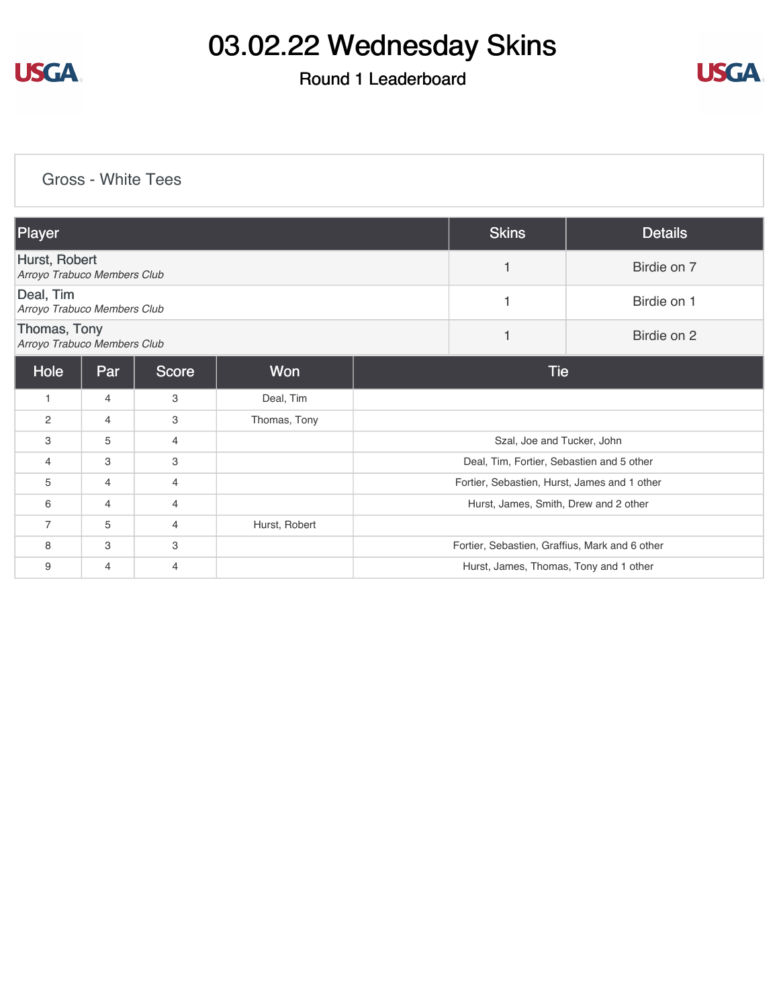

### Round 1 Leaderboard



#### [Gross - White Tees](https://cdn2.golfgenius.com/v2tournaments/8262617499388895243?called_from=&round_index=1)

| Player                                       |                |       |               |                                                | <b>Skins</b>     | <b>Details</b> |  |  |
|----------------------------------------------|----------------|-------|---------------|------------------------------------------------|------------------|----------------|--|--|
| Hurst, Robert<br>Arroyo Trabuco Members Club |                |       |               |                                                | Birdie on 7<br>1 |                |  |  |
| Deal, Tim<br>Arroyo Trabuco Members Club     |                |       |               |                                                | 1                | Birdie on 1    |  |  |
| Thomas, Tony<br>Arroyo Trabuco Members Club  |                |       |               |                                                | $\mathbf{1}$     | Birdie on 2    |  |  |
| Hole                                         | Par            | Score | Won           | <b>Tie</b>                                     |                  |                |  |  |
| $\mathbf{1}$                                 | $\overline{4}$ | 3     | Deal, Tim     |                                                |                  |                |  |  |
| $\overline{2}$                               | $\overline{4}$ | 3     | Thomas, Tony  |                                                |                  |                |  |  |
| 3                                            | 5              | 4     |               | Szal, Joe and Tucker, John                     |                  |                |  |  |
| $\overline{4}$                               | 3              | 3     |               | Deal, Tim, Fortier, Sebastien and 5 other      |                  |                |  |  |
| 5                                            | $\overline{4}$ | 4     |               | Fortier, Sebastien, Hurst, James and 1 other   |                  |                |  |  |
| 6                                            | $\overline{4}$ | 4     |               | Hurst, James, Smith, Drew and 2 other          |                  |                |  |  |
| $\overline{7}$                               | 5              | 4     | Hurst, Robert |                                                |                  |                |  |  |
| 8                                            | 3              | 3     |               | Fortier, Sebastien, Graffius, Mark and 6 other |                  |                |  |  |
| 9                                            | $\overline{4}$ | 4     |               | Hurst, James, Thomas, Tony and 1 other         |                  |                |  |  |